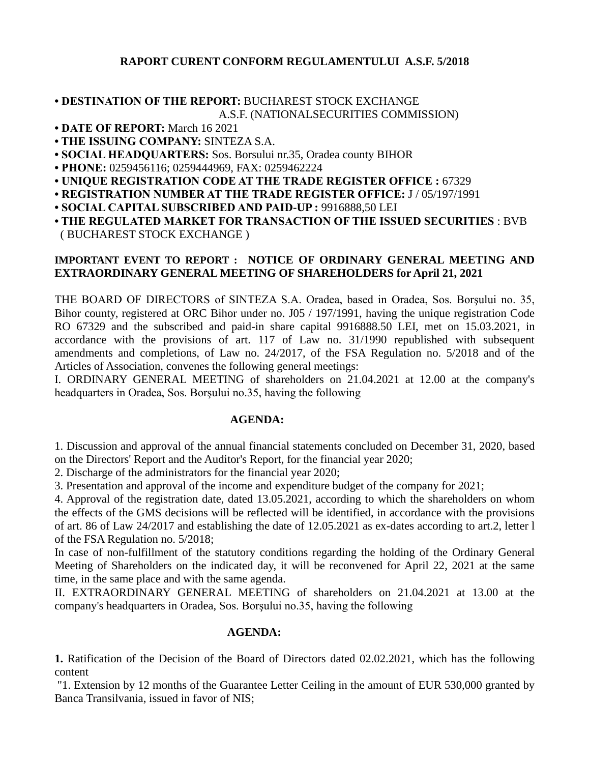## **RAPORT CURENT CONFORM REGULAMENTULUI A.S.F. 5/2018**

### **• DESTINATION OF THE REPORT:** BUCHAREST STOCK EXCHANGE A.S.F. (NATIONALSECURITIES COMMISSION)

- **DATE OF REPORT:** March 16 2021
- **THE ISSUING COMPANY:** SINTEZA S.A.
- **SOCIAL HEADQUARTERS:** Sos. Borsului nr.35, Oradea county BIHOR
- **PHONE:** 0259456116; 0259444969, FAX: 0259462224
- **UNIQUE REGISTRATION CODE AT THE TRADE REGISTER OFFICE :** 67329
- **REGISTRATION NUMBER AT THE TRADE REGISTER OFFICE:** J / 05/197/1991
- **SOCIAL CAPITAL SUBSCRIBED AND PAID-UP :** 9916888,50 LEI
- **THE REGULATED MARKET FOR TRANSACTION OF THE ISSUED SECURITIES** : BVB ( BUCHAREST STOCK EXCHANGE )

### **IMPORTANT EVENT TO REPORT : NOTICE OF ORDINARY GENERAL MEETING AND EXTRAORDINARY GENERAL MEETING OF SHAREHOLDERS for April 21, 2021**

THE BOARD OF DIRECTORS of SINTEZA S.A. Oradea, based in Oradea, Sos. Borşului no. 35, Bihor county, registered at ORC Bihor under no. J05 / 197/1991, having the unique registration Code RO 67329 and the subscribed and paid-in share capital 9916888.50 LEI, met on 15.03.2021, in accordance with the provisions of art. 117 of Law no. 31/1990 republished with subsequent amendments and completions, of Law no. 24/2017, of the FSA Regulation no. 5/2018 and of the Articles of Association, convenes the following general meetings:

I. ORDINARY GENERAL MEETING of shareholders on 21.04.2021 at 12.00 at the company's headquarters in Oradea, Sos. Borşului no.35, having the following

#### **AGENDA:**

1. Discussion and approval of the annual financial statements concluded on December 31, 2020, based on the Directors' Report and the Auditor's Report, for the financial year 2020;

2. Discharge of the administrators for the financial year 2020;

3. Presentation and approval of the income and expenditure budget of the company for 2021;

4. Approval of the registration date, dated 13.05.2021, according to which the shareholders on whom the effects of the GMS decisions will be reflected will be identified, in accordance with the provisions of art. 86 of Law 24/2017 and establishing the date of 12.05.2021 as ex-dates according to art.2, letter l of the FSA Regulation no. 5/2018;

In case of non-fulfillment of the statutory conditions regarding the holding of the Ordinary General Meeting of Shareholders on the indicated day, it will be reconvened for April 22, 2021 at the same time, in the same place and with the same agenda.

II. EXTRAORDINARY GENERAL MEETING of shareholders on 21.04.2021 at 13.00 at the company's headquarters in Oradea, Sos. Borşului no.35, having the following

## **AGENDA:**

**1.** Ratification of the Decision of the Board of Directors dated 02.02.2021, which has the following content

"1. Extension by 12 months of the Guarantee Letter Ceiling in the amount of EUR 530,000 granted by Banca Transilvania, issued in favor of NIS;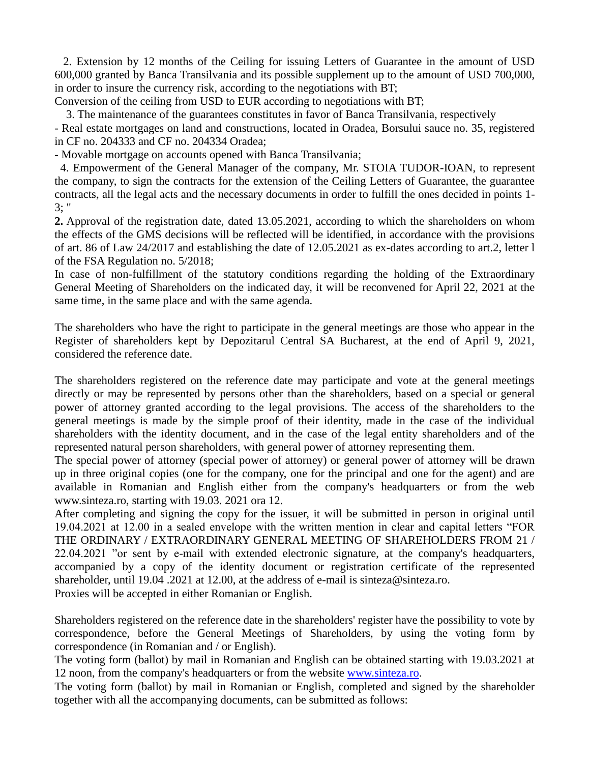2. Extension by 12 months of the Ceiling for issuing Letters of Guarantee in the amount of USD 600,000 granted by Banca Transilvania and its possible supplement up to the amount of USD 700,000, in order to insure the currency risk, according to the negotiations with BT;

Conversion of the ceiling from USD to EUR according to negotiations with BT;

3. The maintenance of the guarantees constitutes in favor of Banca Transilvania, respectively

- Real estate mortgages on land and constructions, located in Oradea, Borsului sauce no. 35, registered in CF no. 204333 and CF no. 204334 Oradea;

- Movable mortgage on accounts opened with Banca Transilvania;

 4. Empowerment of the General Manager of the company, Mr. STOIA TUDOR-IOAN, to represent the company, to sign the contracts for the extension of the Ceiling Letters of Guarantee, the guarantee contracts, all the legal acts and the necessary documents in order to fulfill the ones decided in points 1-  $3:$  "

**2.** Approval of the registration date, dated 13.05.2021, according to which the shareholders on whom the effects of the GMS decisions will be reflected will be identified, in accordance with the provisions of art. 86 of Law 24/2017 and establishing the date of 12.05.2021 as ex-dates according to art.2, letter l of the FSA Regulation no. 5/2018;

In case of non-fulfillment of the statutory conditions regarding the holding of the Extraordinary General Meeting of Shareholders on the indicated day, it will be reconvened for April 22, 2021 at the same time, in the same place and with the same agenda.

The shareholders who have the right to participate in the general meetings are those who appear in the Register of shareholders kept by Depozitarul Central SA Bucharest, at the end of April 9, 2021, considered the reference date.

The shareholders registered on the reference date may participate and vote at the general meetings directly or may be represented by persons other than the shareholders, based on a special or general power of attorney granted according to the legal provisions. The access of the shareholders to the general meetings is made by the simple proof of their identity, made in the case of the individual shareholders with the identity document, and in the case of the legal entity shareholders and of the represented natural person shareholders, with general power of attorney representing them.

The special power of attorney (special power of attorney) or general power of attorney will be drawn up in three original copies (one for the company, one for the principal and one for the agent) and are available in Romanian and English either from the company's headquarters or from the web www.sinteza.ro, starting with 19.03. 2021 ora 12.

After completing and signing the copy for the issuer, it will be submitted in person in original until 19.04.2021 at 12.00 in a sealed envelope with the written mention in clear and capital letters "FOR THE ORDINARY / EXTRAORDINARY GENERAL MEETING OF SHAREHOLDERS FROM 21 / 22.04.2021 "or sent by e-mail with extended electronic signature, at the company's headquarters, accompanied by a copy of the identity document or registration certificate of the represented shareholder, until 19.04 .2021 at 12.00, at the address of e-mail is sinteza@sinteza.ro.

Proxies will be accepted in either Romanian or English.

Shareholders registered on the reference date in the shareholders' register have the possibility to vote by correspondence, before the General Meetings of Shareholders, by using the voting form by correspondence (in Romanian and / or English).

The voting form (ballot) by mail in Romanian and English can be obtained starting with 19.03.2021 at 12 noon, from the company's headquarters or from the website [www.sinteza.ro.](http://www.sinteza.ro/)

The voting form (ballot) by mail in Romanian or English, completed and signed by the shareholder together with all the accompanying documents, can be submitted as follows: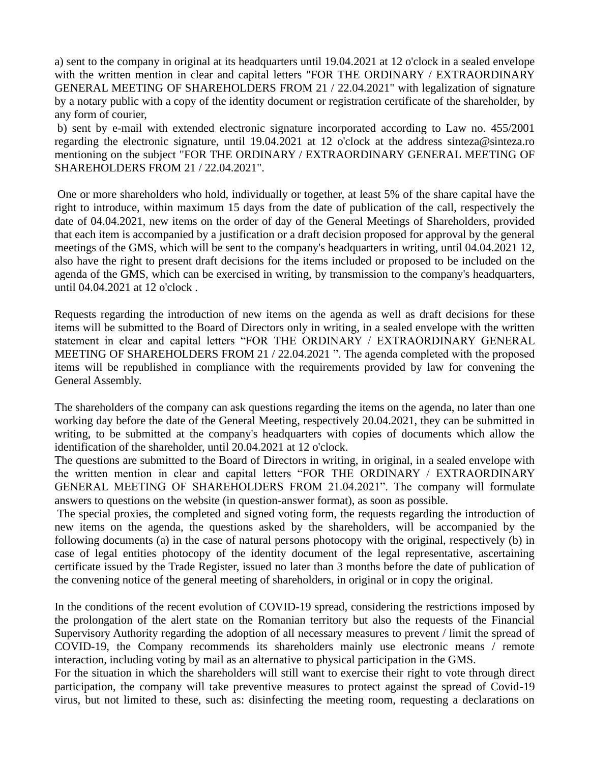a) sent to the company in original at its headquarters until 19.04.2021 at 12 o'clock in a sealed envelope with the written mention in clear and capital letters "FOR THE ORDINARY / EXTRAORDINARY GENERAL MEETING OF SHAREHOLDERS FROM 21 / 22.04.2021" with legalization of signature by a notary public with a copy of the identity document or registration certificate of the shareholder, by any form of courier,

b) sent by e-mail with extended electronic signature incorporated according to Law no. 455/2001 regarding the electronic signature, until 19.04.2021 at 12 o'clock at the address sinteza@sinteza.ro mentioning on the subject "FOR THE ORDINARY / EXTRAORDINARY GENERAL MEETING OF SHAREHOLDERS FROM 21 / 22.04.2021".

One or more shareholders who hold, individually or together, at least 5% of the share capital have the right to introduce, within maximum 15 days from the date of publication of the call, respectively the date of 04.04.2021, new items on the order of day of the General Meetings of Shareholders, provided that each item is accompanied by a justification or a draft decision proposed for approval by the general meetings of the GMS, which will be sent to the company's headquarters in writing, until 04.04.2021 12, also have the right to present draft decisions for the items included or proposed to be included on the agenda of the GMS, which can be exercised in writing, by transmission to the company's headquarters, until 04.04.2021 at 12 o'clock .

Requests regarding the introduction of new items on the agenda as well as draft decisions for these items will be submitted to the Board of Directors only in writing, in a sealed envelope with the written statement in clear and capital letters "FOR THE ORDINARY / EXTRAORDINARY GENERAL MEETING OF SHAREHOLDERS FROM 21 / 22.04.2021 ". The agenda completed with the proposed items will be republished in compliance with the requirements provided by law for convening the General Assembly.

The shareholders of the company can ask questions regarding the items on the agenda, no later than one working day before the date of the General Meeting, respectively 20.04.2021, they can be submitted in writing, to be submitted at the company's headquarters with copies of documents which allow the identification of the shareholder, until 20.04.2021 at 12 o'clock.

The questions are submitted to the Board of Directors in writing, in original, in a sealed envelope with the written mention in clear and capital letters "FOR THE ORDINARY / EXTRAORDINARY GENERAL MEETING OF SHAREHOLDERS FROM 21.04.2021". The company will formulate answers to questions on the website (in question-answer format), as soon as possible.

The special proxies, the completed and signed voting form, the requests regarding the introduction of new items on the agenda, the questions asked by the shareholders, will be accompanied by the following documents (a) in the case of natural persons photocopy with the original, respectively (b) in case of legal entities photocopy of the identity document of the legal representative, ascertaining certificate issued by the Trade Register, issued no later than 3 months before the date of publication of the convening notice of the general meeting of shareholders, in original or in copy the original.

In the conditions of the recent evolution of COVID-19 spread, considering the restrictions imposed by the prolongation of the alert state on the Romanian territory but also the requests of the Financial Supervisory Authority regarding the adoption of all necessary measures to prevent / limit the spread of COVID-19, the Company recommends its shareholders mainly use electronic means / remote interaction, including voting by mail as an alternative to physical participation in the GMS.

For the situation in which the shareholders will still want to exercise their right to vote through direct participation, the company will take preventive measures to protect against the spread of Covid-19 virus, but not limited to these, such as: disinfecting the meeting room, requesting a declarations on